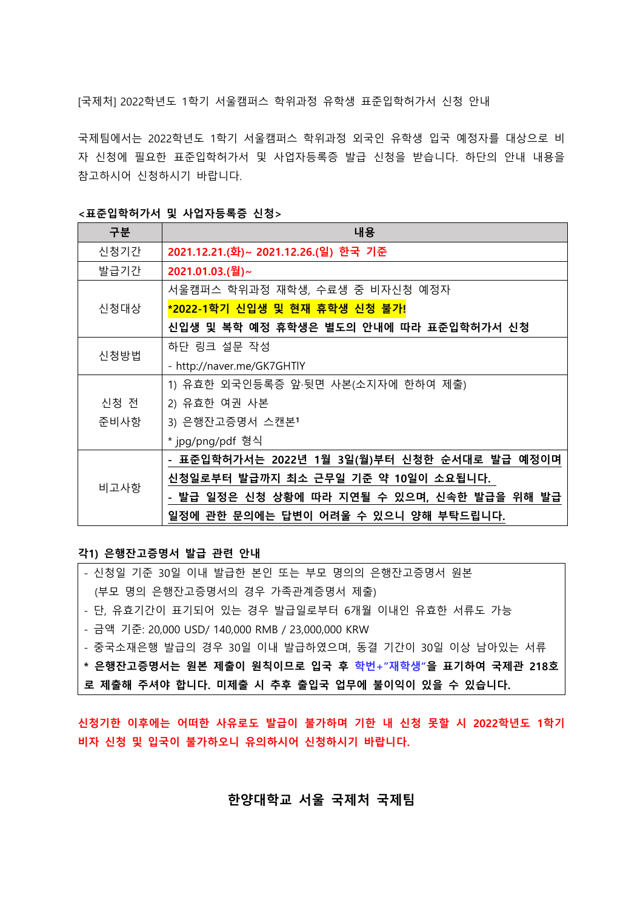[국제처] 2022학년도 1학기 서울캠퍼스 학위과정 유학생 표준입학허가서 신청 안내

국제팀에서는 2022학년도 1학기 서울캠퍼스 학위과정 외국인 유학생 입국 예정자를 대상으로 비 자 신청에 필요한 표준입학허가서 및 사업자등록증 발급 신청을 받습니다. 하단의 안내 내용을 참고하시어 신청하시기 바랍니다.

| 구분   | 내용                                           |
|------|----------------------------------------------|
| 신청기간 | 2021.12.21.(화)~ 2021.12.26.(일) 한국 기준         |
| 발급기간 | 2021.01.03.(월)~                              |
| 신청대상 | 서울캠퍼스 학위과정 재학생, 수료생 중 비자신청 예정자               |
|      | <mark>*2022-1학기 신입생 및 현재 휴학생 신청 불가!</mark>   |
|      | 신입생 및 복학 예정 휴학생은 별도의 안내에 따라 표준입학허가서 신청       |
| 신청방법 | 하단 링크 설문 작성                                  |
|      | - http://naver.me/GK7GHTlY                   |
|      | 1) 유효한 외국인등록증 앞·뒷면 사본(소지자에 한하여 제출)           |
| 신청 전 | 2) 유효한 여권 사본                                 |
| 준비사항 | 3) 은행잔고증명서 스캔본1                              |
|      | * jpg/png/pdf 형식                             |
| 비고사항 | - 표준입학허가서는 2022년 1월 3일(월)부터 신청한 순서대로 발급 예정이며 |
|      | 신청일로부터 발급까지 최소 근무일 기준 약 10일이 소요됩니다.          |
|      | - 발급 일정은 신청 상황에 따라 지연될 수 있으며, 신속한 발급을 위해 발급  |
|      | 일정에 관한 문의에는 답변이 어려울 수 있으니 양해 부탁드립니다.         |

<표준입학허가서 및 사업자등록증 신청>

#### 각1) 은행잔고증명서 발급 관련 안내

| - 신청일 기준 30일 이내 발급한 본인 또는 부모 명의의 은행잔고증명서 원본          |  |  |
|------------------------------------------------------|--|--|
| (부모 명의 은행잔고증명서의 경우 가족관계증명서 제출)                       |  |  |
| - 단, 유효기간이 표기되어 있는 경우 발급일로부터 6개월 이내인 유효한 서류도 가능      |  |  |
| - 금액 기준: 20,000 USD/ 140,000 RMB / 23,000,000 KRW    |  |  |
| – 중국소재은행 발급의 경우 30일 이내 발급하였으며, 동결 기간이 30일 이상 남아있는 서류 |  |  |
| * 은행잔고증명서는 원본 제출이 원칙이므로 입국 후 학번+"재학생"을 표기하여 국제관 218호 |  |  |
| 로 제출해 주셔야 합니다. 미제출 시 추후 출입국 업무에 불이익이 있을 수 있습니다.      |  |  |
|                                                      |  |  |

신청기한 이후에는 어떠한 사유로도 발급이 불가하며 기한 내 신청 못할 시 2022학년도 1학기 비자 신청 및 입국이 불가하오니 유의하시어 신청하시기 바랍니다.

한양대학교 서울 국제처 국제팀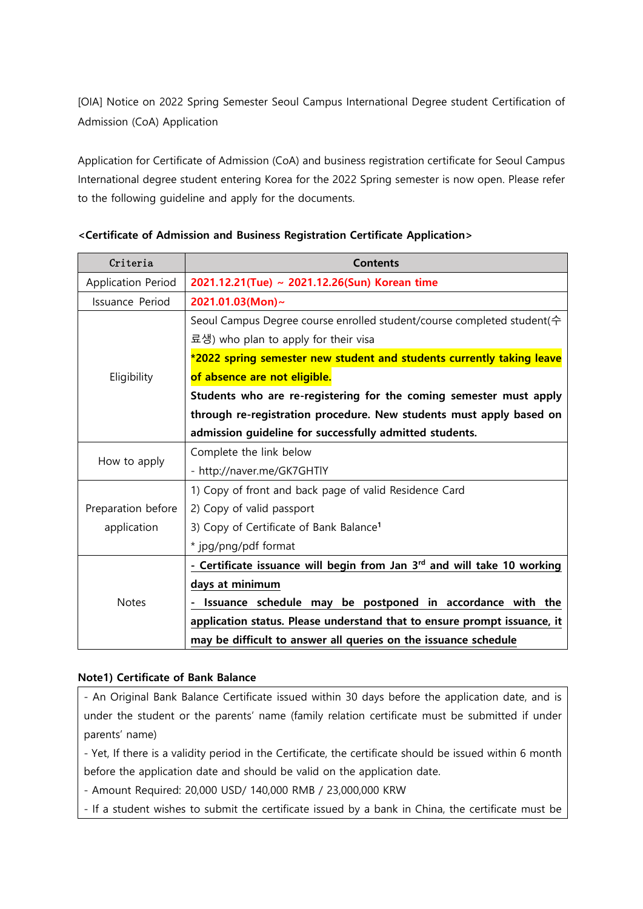[OIA] Notice on 2022 Spring Semester Seoul Campus International Degree student Certification of Admission (CoA) Application

Application for Certificate of Admission (CoA) and business registration certificate for Seoul Campus International degree student entering Korea for the 2022 Spring semester is now open. Please refer to the following guideline and apply for the documents.

| Criteria           | <b>Contents</b>                                                                    |
|--------------------|------------------------------------------------------------------------------------|
| Application Period | 2021.12.21(Tue) ~ 2021.12.26(Sun) Korean time                                      |
| Issuance Period    | 2021.01.03(Mon)~                                                                   |
| Eligibility        | Seoul Campus Degree course enrolled student/course completed student( $\hat{\tau}$ |
|                    | 료생) who plan to apply for their visa                                               |
|                    | *2022 spring semester new student and students currently taking leave              |
|                    | of absence are not eligible.                                                       |
|                    | Students who are re-registering for the coming semester must apply                 |
|                    | through re-registration procedure. New students must apply based on                |
|                    | admission guideline for successfully admitted students.                            |
|                    | Complete the link below                                                            |
| How to apply       | - http://naver.me/GK7GHTlY                                                         |
|                    | 1) Copy of front and back page of valid Residence Card                             |
| Preparation before | 2) Copy of valid passport                                                          |
| application        | 3) Copy of Certificate of Bank Balance <sup>1</sup>                                |
|                    | * jpg/png/pdf format                                                               |
| <b>Notes</b>       | - Certificate issuance will begin from Jan 3rd and will take 10 working            |
|                    | days at minimum                                                                    |
|                    | Issuance schedule<br>may be postponed in accordance with the                       |
|                    | application status. Please understand that to ensure prompt issuance, it           |
|                    | may be difficult to answer all queries on the issuance schedule                    |

# <Certificate of Admission and Business Registration Certificate Application>

# Note1) Certificate of Bank Balance

- An Original Bank Balance Certificate issued within 30 days before the application date, and is under the student or the parents' name (family relation certificate must be submitted if under parents' name)

- Yet, If there is a validity period in the Certificate, the certificate should be issued within 6 month before the application date and should be valid on the application date.

- Amount Required: 20,000 USD/ 140,000 RMB / 23,000,000 KRW

- If a student wishes to submit the certificate issued by a bank in China, the certificate must be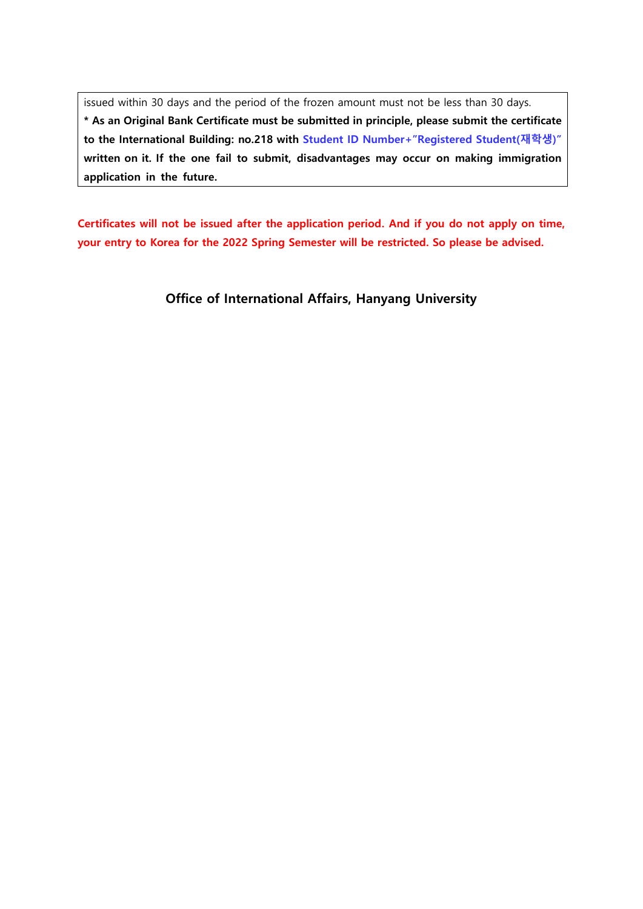issued within 30 days and the period of the frozen amount must not be less than 30 days. \* As an Original Bank Certificate must be submitted in principle, please submit the certificate to the International Building: no.218 with Student ID Number+"Registered Student(재학생)" written on it. If the one fail to submit, disadvantages may occur on making immigration application in the future.

Certificates will not be issued after the application period. And if you do not apply on time, your entry to Korea for the 2022 Spring Semester will be restricted. So please be advised.

Office of International Affairs, Hanyang University